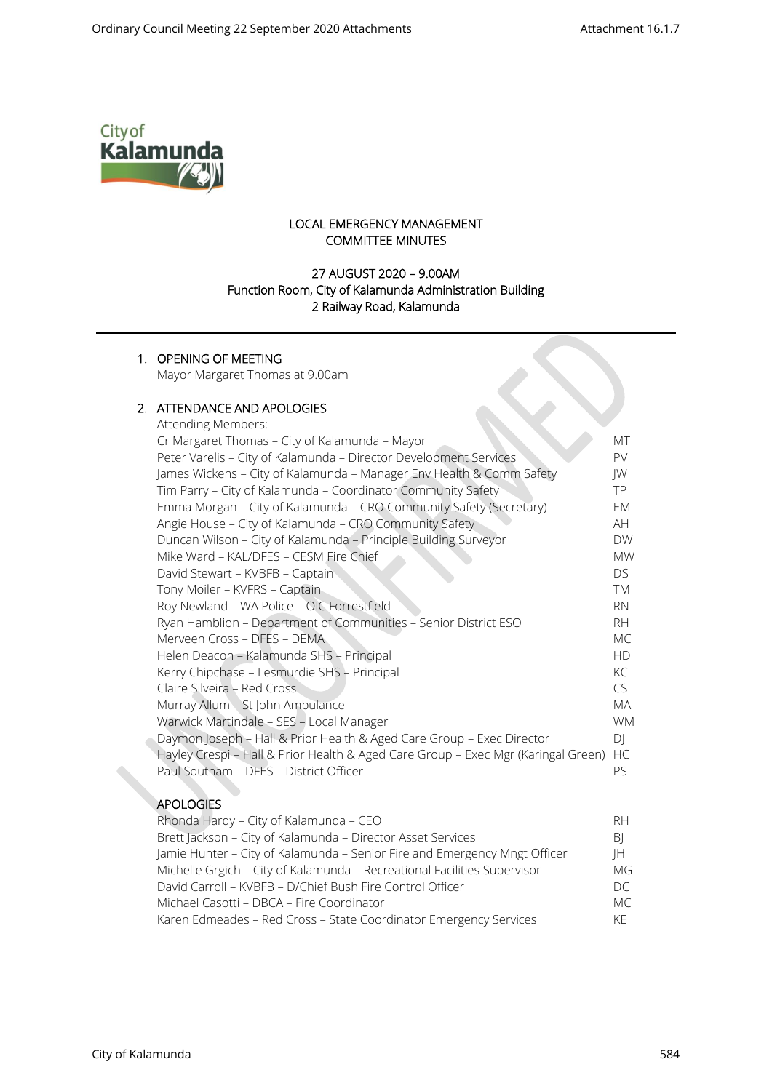$\infty$ 



### LOCAL EMERGENCY MANAGEMENT COMMITTEE MINUTES

## 27 AUGUST 2020 – 9.00AM Function Room, City of Kalamunda Administration Building 2 Railway Road, Kalamunda

### 1. OPENING OF MEETING

Mayor Margaret Thomas at 9.00am

### 2. ATTENDANCE AND APOLOGIES

| Attending Members:                                                                |           |
|-----------------------------------------------------------------------------------|-----------|
| Cr Margaret Thomas - City of Kalamunda - Mayor                                    | MT        |
| Peter Varelis - City of Kalamunda - Director Development Services                 | PV.       |
| James Wickens - City of Kalamunda - Manager Env Health & Comm Safety              | JW        |
| Tim Parry - City of Kalamunda - Coordinator Community Safety                      | TP.       |
| Emma Morgan - City of Kalamunda - CRO Community Safety (Secretary)                | EM        |
| Angie House - City of Kalamunda - CRO Community Safety                            | AH.       |
| Duncan Wilson - City of Kalamunda - Principle Building Surveyor                   | <b>DW</b> |
| Mike Ward - KAL/DFES - CESM Fire Chief                                            | <b>MW</b> |
| David Stewart - KVBFB - Captain                                                   | DS.       |
| Tony Moiler - KVFRS - Captain                                                     | <b>TM</b> |
| Roy Newland - WA Police - OIC Forrestfield                                        | <b>RN</b> |
| Ryan Hamblion - Department of Communities - Senior District ESO                   | <b>RH</b> |
| Merveen Cross - DFES - DEMA                                                       | MC.       |
| Helen Deacon - Kalamunda SHS - Principal                                          | <b>HD</b> |
| Kerry Chipchase - Lesmurdie SHS - Principal                                       | KC        |
| Claire Silveira - Red Cross                                                       | CS.       |
| Murray Allum - St John Ambulance                                                  | <b>MA</b> |
| Warwick Martindale - SES - Local Manager                                          | <b>WM</b> |
| Daymon Joseph - Hall & Prior Health & Aged Care Group - Exec Director             | D         |
| Hayley Crespi - Hall & Prior Health & Aged Care Group - Exec Mgr (Karingal Green) | HC        |
| Paul Southam - DFES - District Officer                                            | PS.       |
|                                                                                   |           |
| <b>APOLOGIES</b>                                                                  |           |
|                                                                                   |           |

| Rhonda Hardy – City of Kalamunda – CEO                                    |     |  |
|---------------------------------------------------------------------------|-----|--|
| Brett Jackson - City of Kalamunda - Director Asset Services               | BI  |  |
| Jamie Hunter - City of Kalamunda - Senior Fire and Emergency Mngt Officer | ΙH  |  |
| Michelle Grgich - City of Kalamunda - Recreational Facilities Supervisor  | MG  |  |
| David Carroll - KVBFB - D/Chief Bush Fire Control Officer                 |     |  |
| Michael Casotti - DBCA - Fire Coordinator                                 | MC. |  |
| Karen Edmeades - Red Cross - State Coordinator Emergency Services         | KF  |  |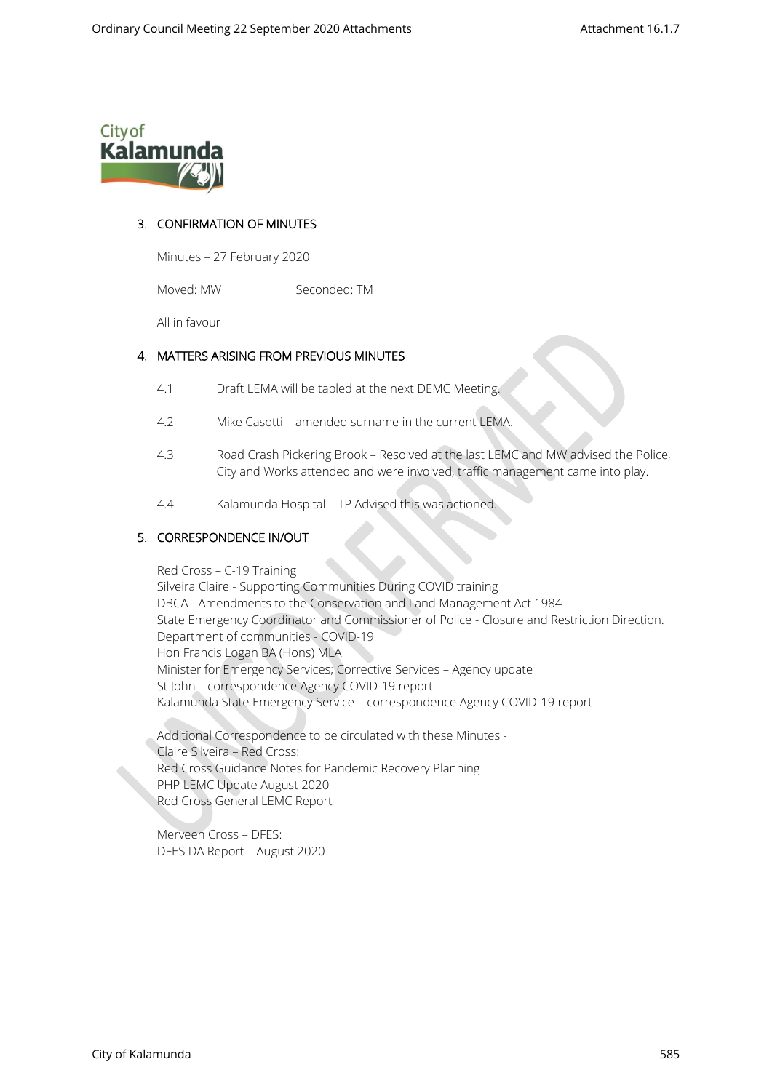

## 3. CONFIRMATION OF MINUTES

Minutes – 27 February 2020

Moved: MW Seconded: TM

All in favour

#### 4. MATTERS ARISING FROM PREVIOUS MINUTES

- 4.1 Draft LEMA will be tabled at the next DEMC Meeting.
- 4.2 Mike Casotti amended surname in the current LEMA.
- 4.3 Road Crash Pickering Brook Resolved at the last LEMC and MW advised the Police, City and Works attended and were involved, traffic management came into play.
- 4.4 Kalamunda Hospital TP Advised this was actioned.

#### 5. CORRESPONDENCE IN/OUT

Red Cross – C-19 Training Silveira Claire - Supporting Communities During COVID training DBCA - Amendments to the Conservation and Land Management Act 1984 State Emergency Coordinator and Commissioner of Police - Closure and Restriction Direction. Department of communities - COVID-19 Hon Francis Logan BA (Hons) MLA Minister for Emergency Services; Corrective Services – Agency update St John – correspondence Agency COVID-19 report Kalamunda State Emergency Service – correspondence Agency COVID-19 report

Additional Correspondence to be circulated with these Minutes - Claire Silveira – Red Cross: Red Cross Guidance Notes for Pandemic Recovery Planning PHP LEMC Update August 2020 Red Cross General LEMC Report

Merveen Cross – DFES: DFES DA Report – August 2020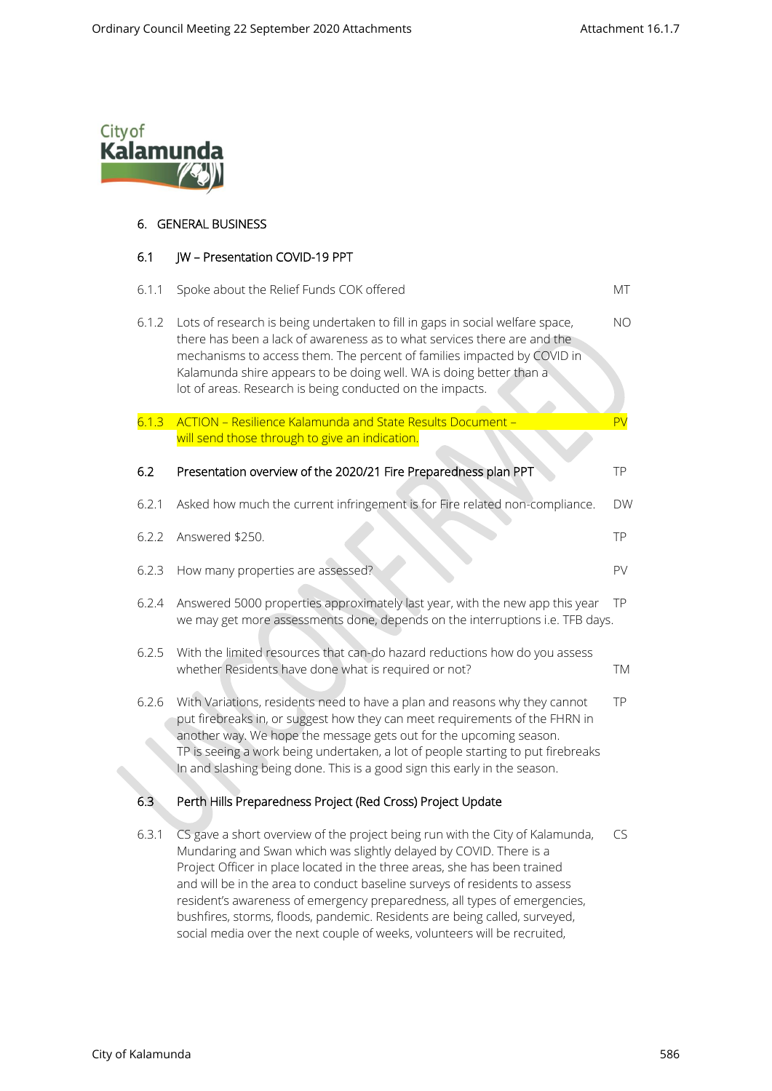

# 6. GENERAL BUSINESS

#### 6.1 JW – Presentation COVID-19 PPT

| 6.1.1 | Spoke about the Relief Funds COK offered                                                                                                                                                                                                                                                                                                                                                         | МT        |
|-------|--------------------------------------------------------------------------------------------------------------------------------------------------------------------------------------------------------------------------------------------------------------------------------------------------------------------------------------------------------------------------------------------------|-----------|
| 6.1.2 | Lots of research is being undertaken to fill in gaps in social welfare space,<br>there has been a lack of awareness as to what services there are and the<br>mechanisms to access them. The percent of families impacted by COVID in<br>Kalamunda shire appears to be doing well. WA is doing better than a<br>lot of areas. Research is being conducted on the impacts.                         | NO        |
| 6.1.3 | <b>ACTION - Resilience Kalamunda and State Results Document -</b><br>will send those through to give an indication.                                                                                                                                                                                                                                                                              | PV        |
| 6.2   | Presentation overview of the 2020/21 Fire Preparedness plan PPT                                                                                                                                                                                                                                                                                                                                  | <b>TP</b> |
| 6.2.1 | Asked how much the current infringement is for Fire related non-compliance.                                                                                                                                                                                                                                                                                                                      | <b>DW</b> |
| 6.2.2 | Answered \$250.                                                                                                                                                                                                                                                                                                                                                                                  | TP        |
| 6.2.3 | How many properties are assessed?                                                                                                                                                                                                                                                                                                                                                                | PV        |
| 6.2.4 | Answered 5000 properties approximately last year, with the new app this year<br>we may get more assessments done, depends on the interruptions i.e. TFB days.                                                                                                                                                                                                                                    | TP        |
| 6.2.5 | With the limited resources that can-do hazard reductions how do you assess<br>whether Residents have done what is required or not?                                                                                                                                                                                                                                                               | TM        |
| 6.2.6 | With Variations, residents need to have a plan and reasons why they cannot<br>put firebreaks in, or suggest how they can meet requirements of the FHRN in<br>another way. We hope the message gets out for the upcoming season.<br>TP is seeing a work being undertaken, a lot of people starting to put firebreaks<br>In and slashing being done. This is a good sign this early in the season. | <b>TP</b> |
| 6.3   | Perth Hills Preparedness Project (Red Cross) Project Update                                                                                                                                                                                                                                                                                                                                      |           |
| 6.3.1 | CS gave a short overview of the project being run with the City of Kalamunda,<br>Mundaring and Swan which was slightly delayed by COVID. There is a<br>Broject Officer in place located in the three areas, she has been trained                                                                                                                                                                 | CS        |

Project Officer in place located in the three areas, she has been trained and will be in the area to conduct baseline surveys of residents to assess resident's awareness of emergency preparedness, all types of emergencies, bushfires, storms, floods, pandemic. Residents are being called, surveyed, social media over the next couple of weeks, volunteers will be recruited,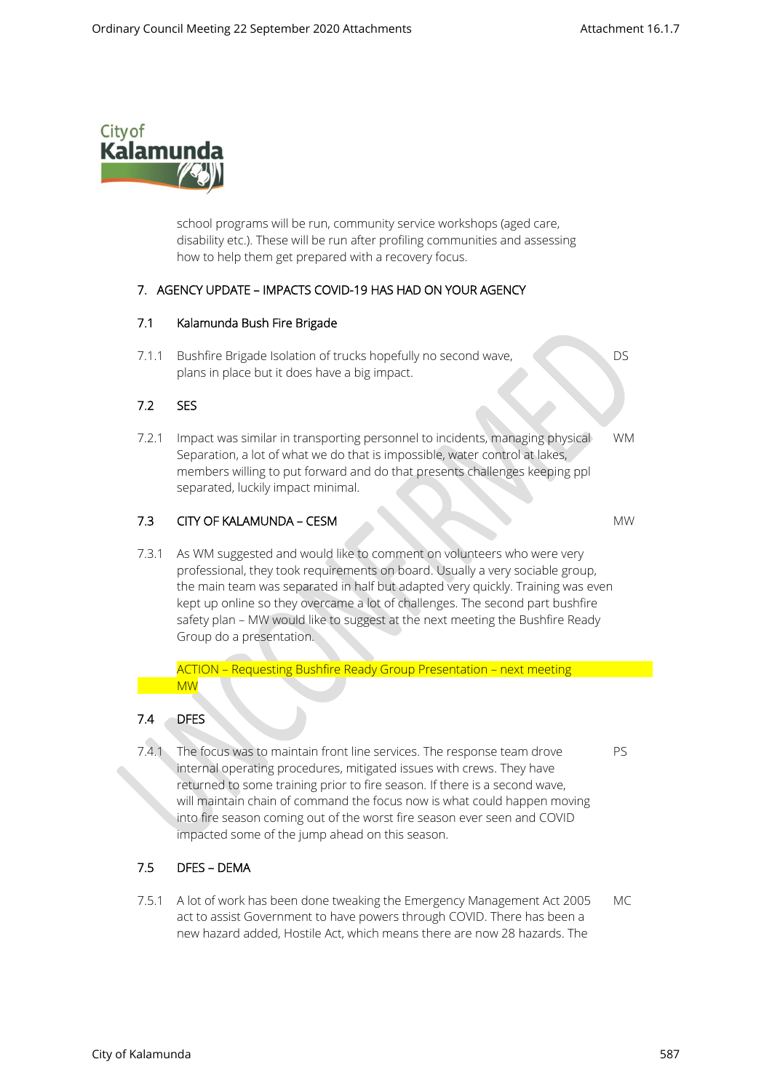

school programs will be run, community service workshops (aged care, disability etc.). These will be run after profiling communities and assessing how to help them get prepared with a recovery focus.

### 7. AGENCY UPDATE – IMPACTS COVID-19 HAS HAD ON YOUR AGENCY

### 7.1 Kalamunda Bush Fire Brigade

7.1.1 Bushfire Brigade Isolation of trucks hopefully no second wave, DS plans in place but it does have a big impact.

## 7.2 SES

7.2.1 Impact was similar in transporting personnel to incidents, managing physical WM Separation, a lot of what we do that is impossible, water control at lakes, members willing to put forward and do that presents challenges keeping ppl separated, luckily impact minimal.

# 7.3 CITY OF KALAMUNDA – CESM MW

 7.3.1 As WM suggested and would like to comment on volunteers who were very professional, they took requirements on board. Usually a very sociable group, the main team was separated in half but adapted very quickly. Training was even kept up online so they overcame a lot of challenges. The second part bushfire safety plan – MW would like to suggest at the next meeting the Bushfire Ready Group do a presentation.

#### ACTION – Requesting Bushfire Ready Group Presentation – next meeting MW

#### 7.4 DFES

7.4.1 The focus was to maintain front line services. The response team drove PS internal operating procedures, mitigated issues with crews. They have returned to some training prior to fire season. If there is a second wave, will maintain chain of command the focus now is what could happen moving into fire season coming out of the worst fire season ever seen and COVID impacted some of the jump ahead on this season.

## 7.5 DFES – DEMA

 7.5.1 A lot of work has been done tweaking the Emergency Management Act 2005 MC act to assist Government to have powers through COVID. There has been a new hazard added, Hostile Act, which means there are now 28 hazards. The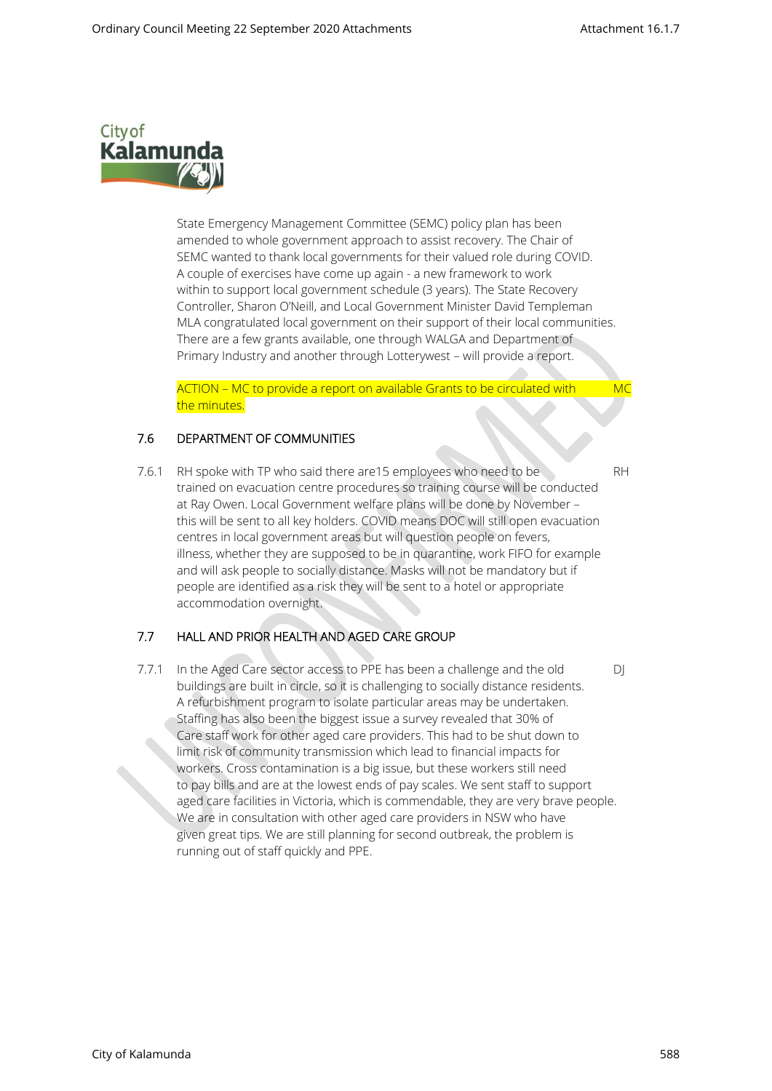

State Emergency Management Committee (SEMC) policy plan has been amended to whole government approach to assist recovery. The Chair of SEMC wanted to thank local governments for their valued role during COVID. A couple of exercises have come up again - a new framework to work within to support local government schedule (3 years). The State Recovery Controller, Sharon O'Neill, and Local Government Minister David Templeman MLA congratulated local government on their support of their local communities. There are a few grants available, one through WALGA and Department of Primary Industry and another through Lotterywest – will provide a report.

ACTION – MC to provide a report on available Grants to be circulated with MC the minutes.

### 7.6 DEPARTMENT OF COMMUNITIES

7.6.1 RH spoke with TP who said there are 15 employees who need to be RH trained on evacuation centre procedures so training course will be conducted at Ray Owen. Local Government welfare plans will be done by November – this will be sent to all key holders. COVID means DOC will still open evacuation centres in local government areas but will question people on fevers, illness, whether they are supposed to be in quarantine, work FIFO for example and will ask people to socially distance. Masks will not be mandatory but if people are identified as a risk they will be sent to a hotel or appropriate accommodation overnight.

## 7.7 HALL AND PRIOR HEALTH AND AGED CARE GROUP

7.7.1 In the Aged Care sector access to PPE has been a challenge and the old DJ buildings are built in circle, so it is challenging to socially distance residents. A refurbishment program to isolate particular areas may be undertaken. Staffing has also been the biggest issue a survey revealed that 30% of Care staff work for other aged care providers. This had to be shut down to limit risk of community transmission which lead to financial impacts for workers. Cross contamination is a big issue, but these workers still need to pay bills and are at the lowest ends of pay scales. We sent staff to support aged care facilities in Victoria, which is commendable, they are very brave people. We are in consultation with other aged care providers in NSW who have given great tips. We are still planning for second outbreak, the problem is running out of staff quickly and PPE.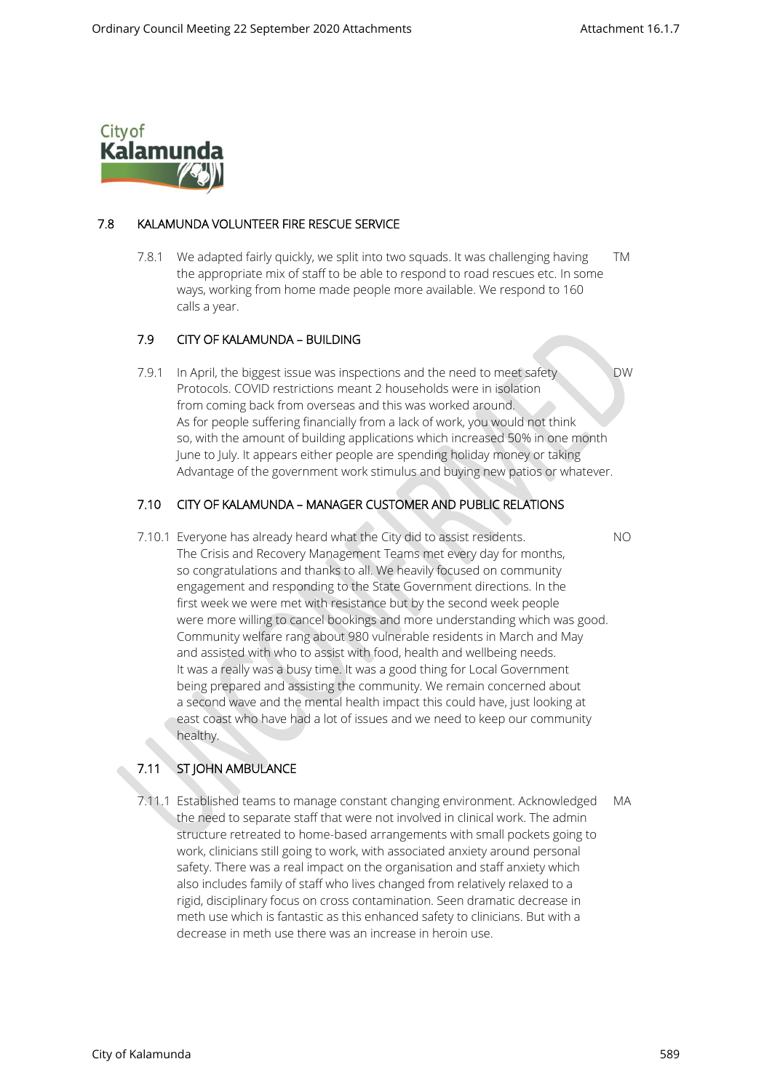

### 7.8 KALAMUNDA VOLUNTEER FIRE RESCUE SERVICE

 7.8.1 We adapted fairly quickly, we split into two squads. It was challenging having TM the appropriate mix of staff to be able to respond to road rescues etc. In some ways, working from home made people more available. We respond to 160 calls a year.

### 7.9 CITY OF KALAMUNDA – BUILDING

7.9.1 In April, the biggest issue was inspections and the need to meet safety DW Protocols. COVID restrictions meant 2 households were in isolation from coming back from overseas and this was worked around. As for people suffering financially from a lack of work, you would not think so, with the amount of building applications which increased 50% in one month June to July. It appears either people are spending holiday money or taking Advantage of the government work stimulus and buying new patios or whatever.

### 7.10 CITY OF KALAMUNDA – MANAGER CUSTOMER AND PUBLIC RELATIONS

 7.10.1 Everyone has already heard what the City did to assist residents. NO The Crisis and Recovery Management Teams met every day for months, so congratulations and thanks to all. We heavily focused on community engagement and responding to the State Government directions. In the first week we were met with resistance but by the second week people were more willing to cancel bookings and more understanding which was good. Community welfare rang about 980 vulnerable residents in March and May and assisted with who to assist with food, health and wellbeing needs. It was a really was a busy time. It was a good thing for Local Government being prepared and assisting the community. We remain concerned about a second wave and the mental health impact this could have, just looking at east coast who have had a lot of issues and we need to keep our community healthy.

## 7.11 ST JOHN AMBULANCE

 7.11.1 Established teams to manage constant changing environment. Acknowledged MA the need to separate staff that were not involved in clinical work. The admin structure retreated to home-based arrangements with small pockets going to work, clinicians still going to work, with associated anxiety around personal safety. There was a real impact on the organisation and staff anxiety which also includes family of staff who lives changed from relatively relaxed to a rigid, disciplinary focus on cross contamination. Seen dramatic decrease in meth use which is fantastic as this enhanced safety to clinicians. But with a decrease in meth use there was an increase in heroin use.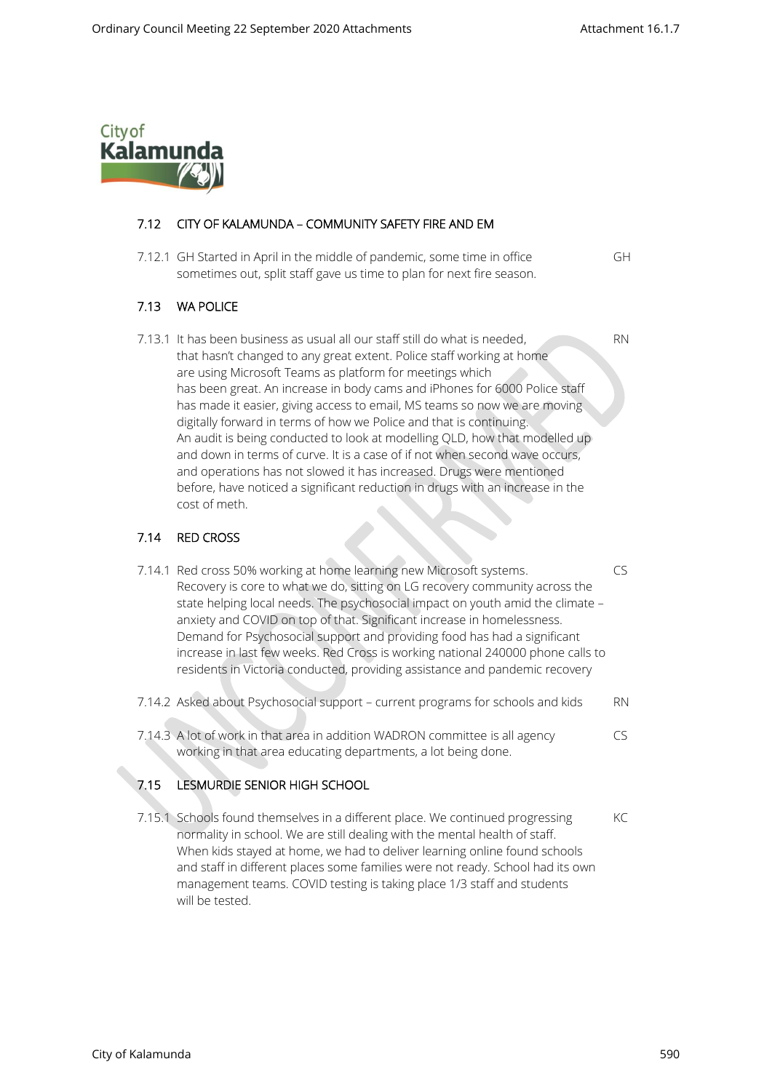

### 7.12 CITY OF KALAMUNDA – COMMUNITY SAFETY FIRE AND EM

 7.12.1 GH Started in April in the middle of pandemic, some time in office GH sometimes out, split staff gave us time to plan for next fire season.

#### 7.13 WA POLICE

7.13.1 It has been business as usual all our staff still do what is needed, RN that hasn't changed to any great extent. Police staff working at home are using Microsoft Teams as platform for meetings which has been great. An increase in body cams and iPhones for 6000 Police staff has made it easier, giving access to email, MS teams so now we are moving digitally forward in terms of how we Police and that is continuing. An audit is being conducted to look at modelling QLD, how that modelled up and down in terms of curve. It is a case of if not when second wave occurs, and operations has not slowed it has increased. Drugs were mentioned before, have noticed a significant reduction in drugs with an increase in the cost of meth.

#### 7.14 RED CROSS

- 7.14.1 Red cross 50% working at home learning new Microsoft systems. CS Recovery is core to what we do, sitting on LG recovery community across the state helping local needs. The psychosocial impact on youth amid the climate – anxiety and COVID on top of that. Significant increase in homelessness. Demand for Psychosocial support and providing food has had a significant increase in last few weeks. Red Cross is working national 240000 phone calls to residents in Victoria conducted, providing assistance and pandemic recovery
- 7.14.2 Asked about Psychosocial support current programs for schools and kids RN
- 7.14.3 A lot of work in that area in addition WADRON committee is all agency CS working in that area educating departments, a lot being done.

## 7.15 LESMURDIE SENIOR HIGH SCHOOL

7.15.1 Schools found themselves in a different place. We continued progressing KC normality in school. We are still dealing with the mental health of staff. When kids stayed at home, we had to deliver learning online found schools and staff in different places some families were not ready. School had its own management teams. COVID testing is taking place 1/3 staff and students will be tested.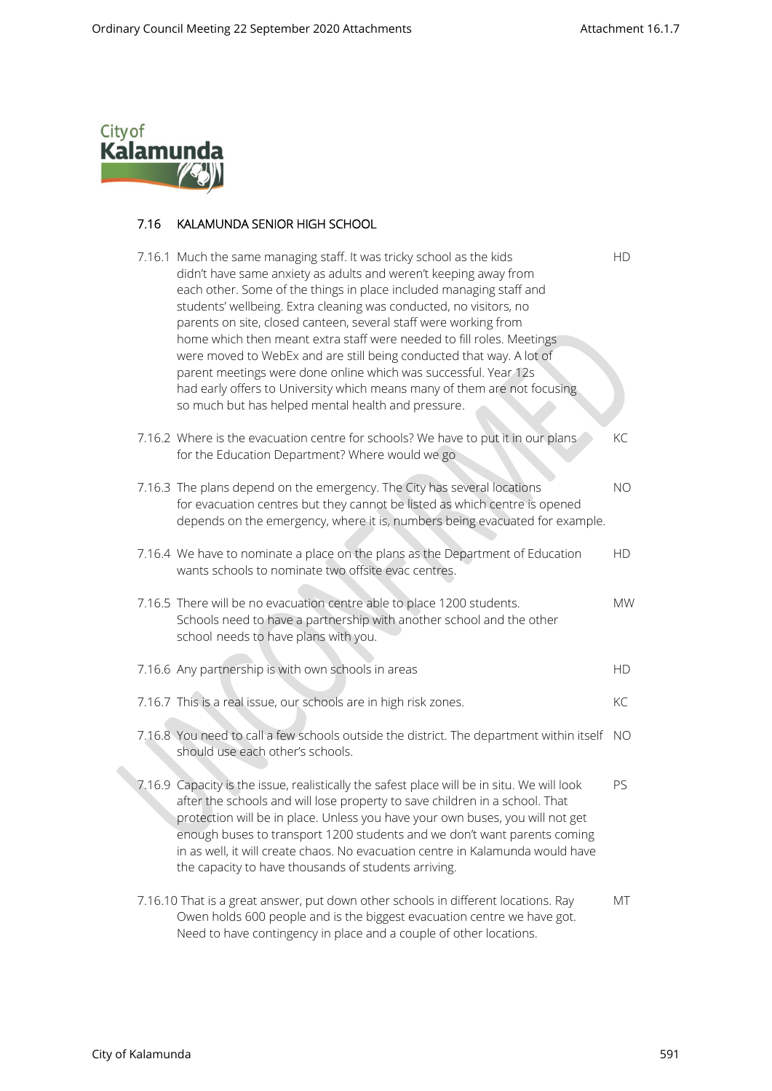

# 7.16 KALAMUNDA SENIOR HIGH SCHOOL

|  | 7.16.1 Much the same managing staff. It was tricky school as the kids<br>didn't have same anxiety as adults and weren't keeping away from<br>each other. Some of the things in place included managing staff and<br>students' wellbeing. Extra cleaning was conducted, no visitors, no<br>parents on site, closed canteen, several staff were working from<br>home which then meant extra staff were needed to fill roles. Meetings<br>were moved to WebEx and are still being conducted that way. A lot of<br>parent meetings were done online which was successful. Year 12s<br>had early offers to University which means many of them are not focusing<br>so much but has helped mental health and pressure. | <b>HD</b> |
|--|------------------------------------------------------------------------------------------------------------------------------------------------------------------------------------------------------------------------------------------------------------------------------------------------------------------------------------------------------------------------------------------------------------------------------------------------------------------------------------------------------------------------------------------------------------------------------------------------------------------------------------------------------------------------------------------------------------------|-----------|
|  | 7.16.2 Where is the evacuation centre for schools? We have to put it in our plans<br>for the Education Department? Where would we go                                                                                                                                                                                                                                                                                                                                                                                                                                                                                                                                                                             | KC        |
|  | 7.16.3 The plans depend on the emergency. The City has several locations<br>for evacuation centres but they cannot be listed as which centre is opened<br>depends on the emergency, where it is, numbers being evacuated for example.                                                                                                                                                                                                                                                                                                                                                                                                                                                                            | NO        |
|  | 7.16.4 We have to nominate a place on the plans as the Department of Education<br>wants schools to nominate two offsite evac centres.                                                                                                                                                                                                                                                                                                                                                                                                                                                                                                                                                                            | <b>HD</b> |
|  | 7.16.5 There will be no evacuation centre able to place 1200 students.<br>Schools need to have a partnership with another school and the other<br>school needs to have plans with you.                                                                                                                                                                                                                                                                                                                                                                                                                                                                                                                           | <b>MW</b> |
|  | 7.16.6 Any partnership is with own schools in areas                                                                                                                                                                                                                                                                                                                                                                                                                                                                                                                                                                                                                                                              | HD        |
|  | 7.16.7 This is a real issue, our schools are in high risk zones.                                                                                                                                                                                                                                                                                                                                                                                                                                                                                                                                                                                                                                                 | KC        |
|  | 7.16.8 You need to call a few schools outside the district. The department within itself<br>should use each other's schools.                                                                                                                                                                                                                                                                                                                                                                                                                                                                                                                                                                                     | - NO      |
|  | 7.16.9 Capacity is the issue, realistically the safest place will be in situ. We will look<br>after the schools and will lose property to save children in a school. That<br>protection will be in place. Unless you have your own buses, you will not get<br>enough buses to transport 1200 students and we don't want parents coming<br>in as well, it will create chaos. No evacuation centre in Kalamunda would have<br>the capacity to have thousands of students arriving.                                                                                                                                                                                                                                 | PS        |
|  | 7.16.10 That is a great answer, put down other schools in different locations. Ray<br>Owen holds 600 people and is the biggest evacuation centre we have got.<br>Need to have contingency in place and a couple of other locations.                                                                                                                                                                                                                                                                                                                                                                                                                                                                              | МT        |